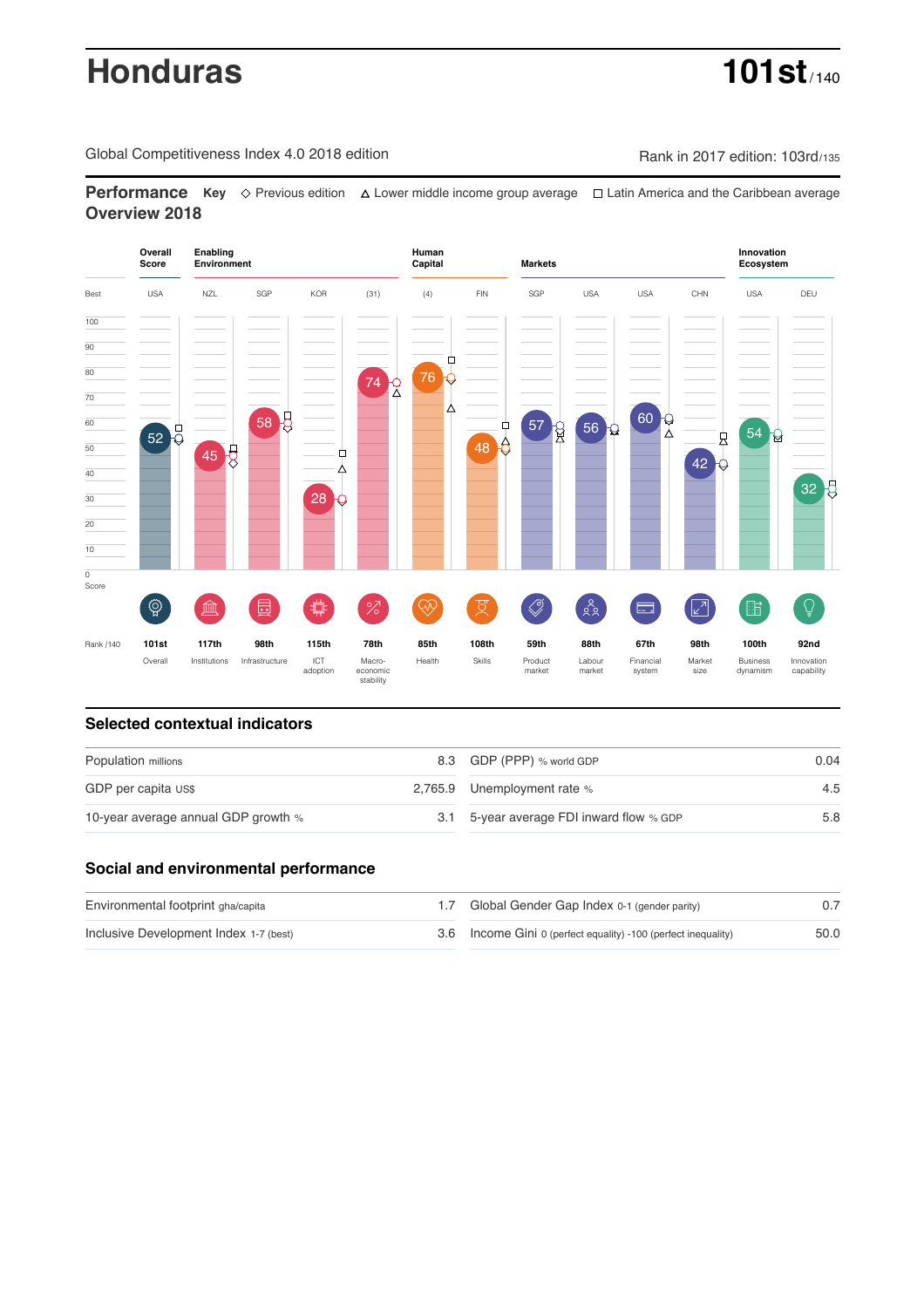# **Honduras 101st**

Global Competitiveness Index 4.0 2018 edition Company Rank in 2017 edition: 103rd/135

**Performance** Key ◇ Previous edition A Lower middle income group average  $\Box$  Latin America and the Caribbean average **Overview 2018**



# **Selected contextual indicators**

| Population millions                 |  | 8.3 GDP (PPP) % world GDP                | 0.04 |  |
|-------------------------------------|--|------------------------------------------|------|--|
| GDP per capita US\$                 |  | 2,765.9 Unemployment rate %              | 4.5  |  |
| 10-year average annual GDP growth % |  | 3.1 5-year average FDI inward flow % GDP | 5.8  |  |

# **Social and environmental performance**

| Environmental footprint gha/capita     | 1.7 Global Gender Gap Index 0-1 (gender parity)                |      |
|----------------------------------------|----------------------------------------------------------------|------|
| Inclusive Development Index 1-7 (best) | 3.6 Income Gini 0 (perfect equality) -100 (perfect inequality) | 50.0 |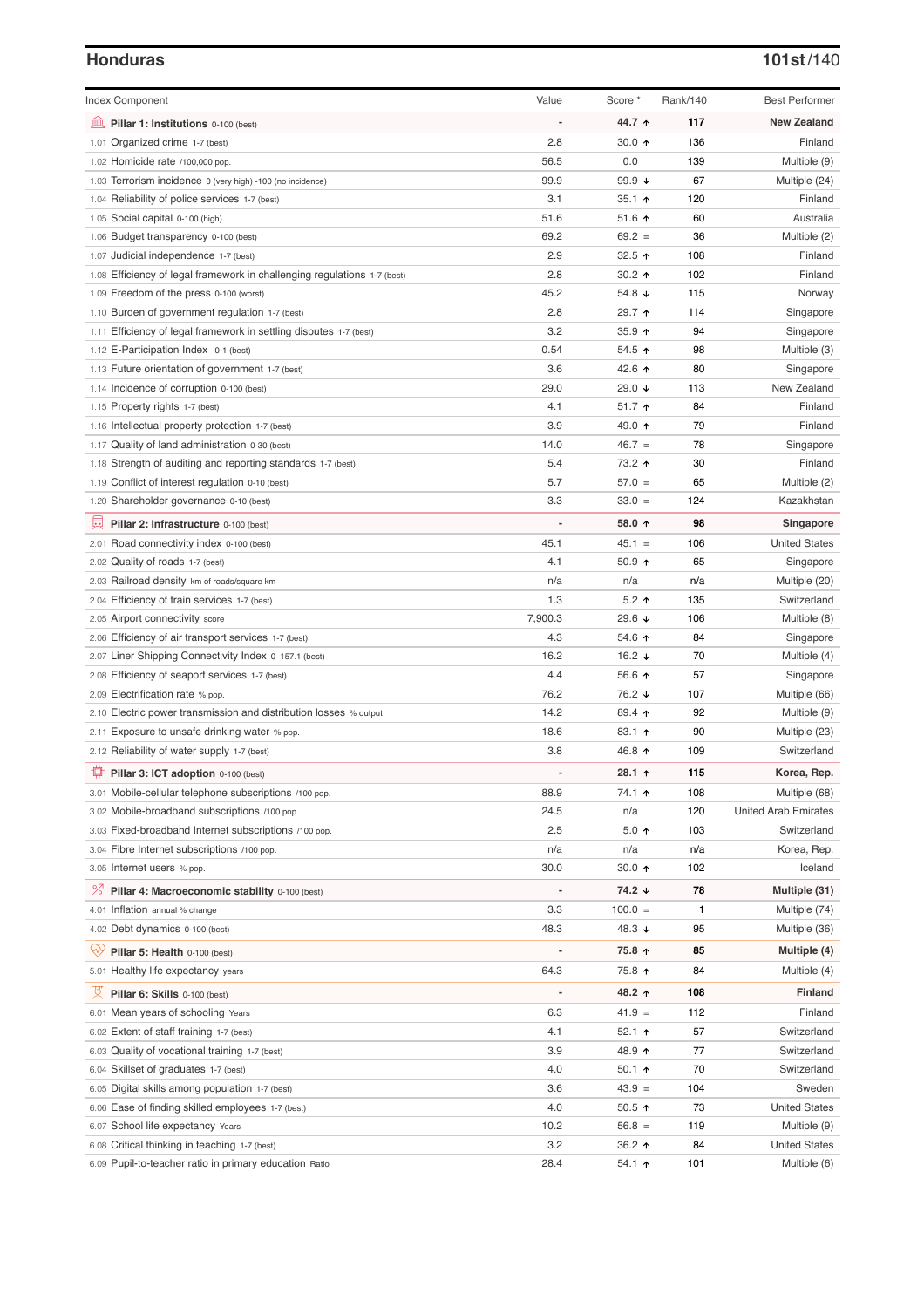### **Honduras 101st**/140

| <b>Index Component</b>                                                   | Value   | Score *                  | Rank/140 | <b>Best Performer</b>       |
|--------------------------------------------------------------------------|---------|--------------------------|----------|-----------------------------|
| 寙<br>Pillar 1: Institutions 0-100 (best)                                 |         | 44.7 ↑                   | 117      | <b>New Zealand</b>          |
| 1.01 Organized crime 1-7 (best)                                          | 2.8     | 30.0 $\uparrow$          | 136      | Finland                     |
| 1.02 Homicide rate /100,000 pop.                                         | 56.5    | 0.0                      | 139      | Multiple (9)                |
| 1.03 Terrorism incidence 0 (very high) -100 (no incidence)               | 99.9    | 99.9 $\sqrt{ }$          | 67       | Multiple (24)               |
| 1.04 Reliability of police services 1-7 (best)                           | 3.1     | 35.1 $\uparrow$          | 120      | Finland                     |
| 1.05 Social capital 0-100 (high)                                         | 51.6    | 51.6 $\uparrow$          | 60       | Australia                   |
| 1.06 Budget transparency 0-100 (best)                                    | 69.2    | $69.2 =$                 | 36       | Multiple (2)                |
| 1.07 Judicial independence 1-7 (best)                                    | 2.9     | 32.5 $\uparrow$          | 108      | Finland                     |
| 1.08 Efficiency of legal framework in challenging regulations 1-7 (best) | 2.8     | 30.2 $\uparrow$          | 102      | Finland                     |
| 1.09 Freedom of the press 0-100 (worst)                                  | 45.2    | 54.8 ↓                   | 115      | Norway                      |
| 1.10 Burden of government regulation 1-7 (best)                          | 2.8     | 29.7 ↑                   | 114      | Singapore                   |
| 1.11 Efficiency of legal framework in settling disputes 1-7 (best)       | 3.2     | 35.9 $\uparrow$          | 94       | Singapore                   |
| 1.12 E-Participation Index 0-1 (best)                                    | 0.54    | 54.5 个                   | 98       | Multiple (3)                |
| 1.13 Future orientation of government 1-7 (best)                         | 3.6     | 42.6 ↑                   | 80       | Singapore                   |
| 1.14 Incidence of corruption 0-100 (best)                                | 29.0    | 29.0 ↓                   | 113      | New Zealand                 |
| 1.15 Property rights 1-7 (best)                                          | 4.1     | $51.7$ ↑                 | 84       | Finland                     |
| 1.16 Intellectual property protection 1-7 (best)                         | 3.9     | 49.0 ↑                   | 79       | Finland                     |
| 1.17 Quality of land administration 0-30 (best)                          | 14.0    | $46.7 =$                 | 78       | Singapore                   |
| 1.18 Strength of auditing and reporting standards 1-7 (best)             | 5.4     | 73.2 ↑                   | 30       | Finland                     |
| 1.19 Conflict of interest regulation 0-10 (best)                         | 5.7     | $57.0 =$                 | 65       | Multiple (2)                |
| 1.20 Shareholder governance 0-10 (best)                                  | 3.3     | $33.0 =$                 | 124      | Kazakhstan                  |
| 圓                                                                        |         | 58.0 ↑                   | 98       | Singapore                   |
| Pillar 2: Infrastructure 0-100 (best)                                    |         | $45.1 =$                 |          |                             |
| 2.01 Road connectivity index 0-100 (best)                                | 45.1    |                          | 106      | <b>United States</b>        |
| 2.02 Quality of roads 1-7 (best)                                         | 4.1     | $50.9$ 1                 | 65       | Singapore                   |
| 2.03 Railroad density km of roads/square km                              | n/a     | n/a                      | n/a      | Multiple (20)               |
| 2.04 Efficiency of train services 1-7 (best)                             | 1.3     | $5.2$ ↑                  | 135      | Switzerland                 |
| 2.05 Airport connectivity score                                          | 7,900.3 | 29.6 ↓                   | 106      | Multiple (8)                |
| 2.06 Efficiency of air transport services 1-7 (best)                     | 4.3     | 54.6 $\uparrow$          | 84       | Singapore                   |
| 2.07 Liner Shipping Connectivity Index 0-157.1 (best)                    | 16.2    | 16.2 $\sqrt{ }$          | 70       | Multiple (4)                |
| 2.08 Efficiency of seaport services 1-7 (best)                           | 4.4     | 56.6 ↑                   | 57       | Singapore                   |
| 2.09 Electrification rate % pop.                                         | 76.2    | 76.2 ↓                   | 107      | Multiple (66)               |
| 2.10 Electric power transmission and distribution losses % output        | 14.2    | 89.4 ↑                   | 92       | Multiple (9)                |
| 2.11 Exposure to unsafe drinking water % pop.                            | 18.6    | $83.1 \text{ } \Upsilon$ | 90       | Multiple (23)               |
| 2.12 Reliability of water supply 1-7 (best)                              | 3.8     | 46.8 ↑                   | 109      | Switzerland                 |
| ₽<br>Pillar 3: ICT adoption 0-100 (best)                                 |         | 28.1 ↑                   | 115      | Korea, Rep.                 |
| 3.01 Mobile-cellular telephone subscriptions /100 pop.                   | 88.9    | 74.1 ↑                   | 108      | Multiple (68)               |
| 3.02 Mobile-broadband subscriptions /100 pop.                            | 24.5    | n/a                      | 120      | <b>United Arab Emirates</b> |
| 3.03 Fixed-broadband Internet subscriptions /100 pop.                    | 2.5     | $5.0$ ↑                  | 103      | Switzerland                 |
| 3.04 Fibre Internet subscriptions /100 pop.                              | n/a     | n/a                      | n/a      | Korea, Rep.                 |
| 3.05 Internet users % pop.                                               | 30.0    | $30.0 \text{ A}$         | 102      | Iceland                     |
| <sup>%</sup> Pillar 4: Macroeconomic stability 0-100 (best)              |         | 74.2 ↓                   | 78       | Multiple (31)               |
| 4.01 Inflation annual % change                                           | 3.3     | $100.0 =$                | 1        | Multiple (74)               |
| 4.02 Debt dynamics 0-100 (best)                                          | 48.3    | 48.3 ↓                   | 95       | Multiple (36)               |
| ₩<br>Pillar 5: Health 0-100 (best)                                       |         | 75.8 ↑                   | 85       | Multiple (4)                |
| 5.01 Healthy life expectancy years                                       | 64.3    | 75.8 ↑                   | 84       | Multiple (4)                |
| 섯<br>Pillar 6: Skills 0-100 (best)                                       |         | 48.2 ↑                   | 108      | <b>Finland</b>              |
|                                                                          |         |                          |          |                             |
| 6.01 Mean years of schooling Years                                       | 6.3     | $41.9 =$                 | 112      | Finland                     |
| 6.02 Extent of staff training 1-7 (best)                                 | 4.1     | 52.1 ↑                   | 57       | Switzerland                 |
| 6.03 Quality of vocational training 1-7 (best)                           | 3.9     | 48.9 ↑                   | 77       | Switzerland                 |
| 6.04 Skillset of graduates 1-7 (best)                                    | 4.0     | $50.1$ ↑                 | 70       | Switzerland                 |
| 6.05 Digital skills among population 1-7 (best)                          | 3.6     | $43.9 =$                 | 104      | Sweden                      |
| 6.06 Ease of finding skilled employees 1-7 (best)                        | 4.0     | 50.5 ↑                   | 73       | <b>United States</b>        |
| 6.07 School life expectancy Years                                        | 10.2    | $56.8 =$                 | 119      | Multiple (9)                |
| 6.08 Critical thinking in teaching 1-7 (best)                            | 3.2     | 36.2 ↑                   | 84       | <b>United States</b>        |
| 6.09 Pupil-to-teacher ratio in primary education Ratio                   | 28.4    | 54.1 个                   | 101      | Multiple (6)                |